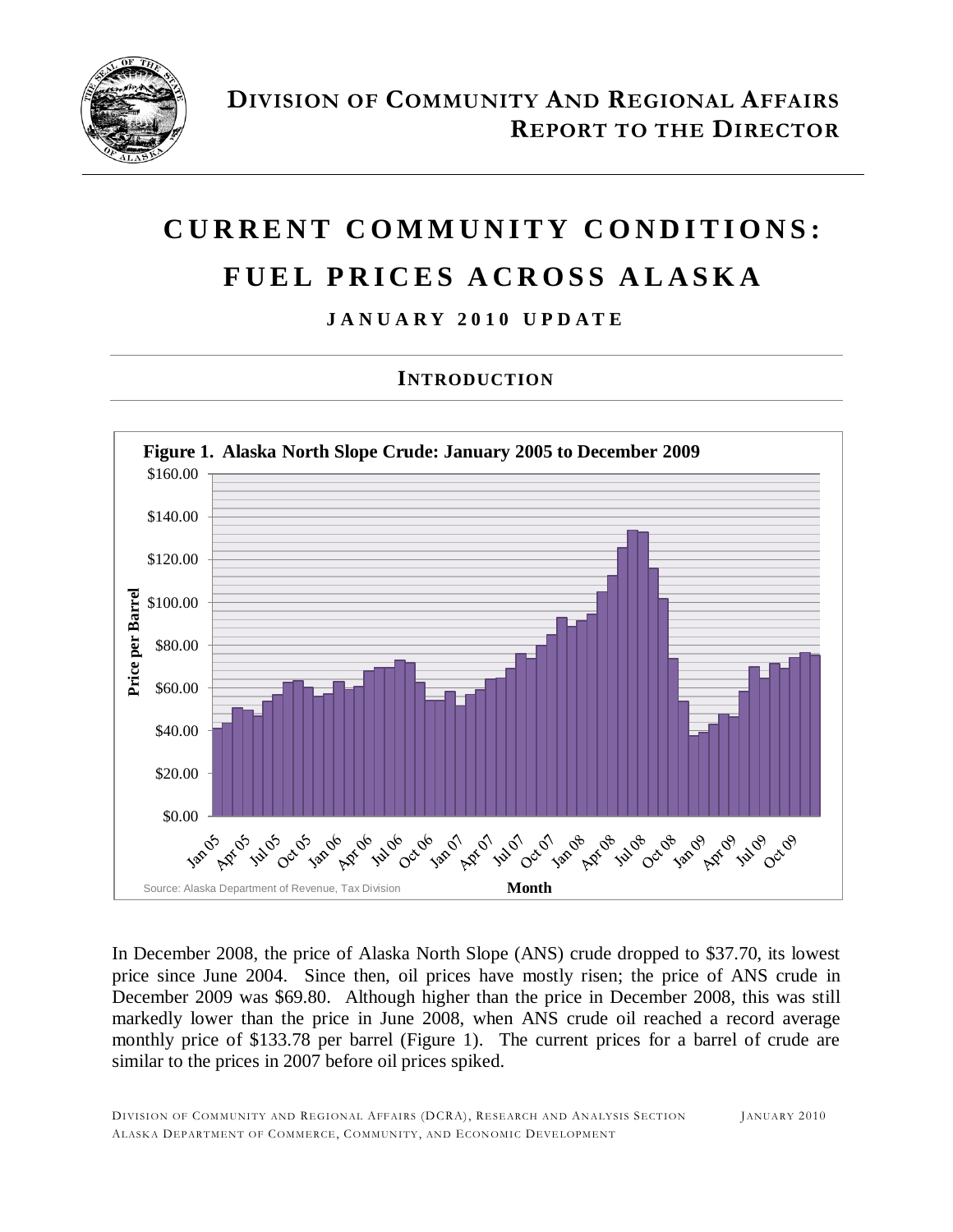

# **C U R R E N T C O M M U N I T Y C O N D I T I O N S : F U E L P R I C E S A C R O S S A L A S K A**

### **J A N U A R Y 2 0 1 0 U P D A T E**

### **INTRODUCTION**



In December 2008, the price of Alaska North Slope (ANS) crude dropped to \$37.70, its lowest price since June 2004. Since then, oil prices have mostly risen; the price of ANS crude in December 2009 was \$69.80. Although higher than the price in December 2008, this was still markedly lower than the price in June 2008, when ANS crude oil reached a record average monthly price of \$133.78 per barrel (Figure 1). The current prices for a barrel of crude are similar to the prices in 2007 before oil prices spiked.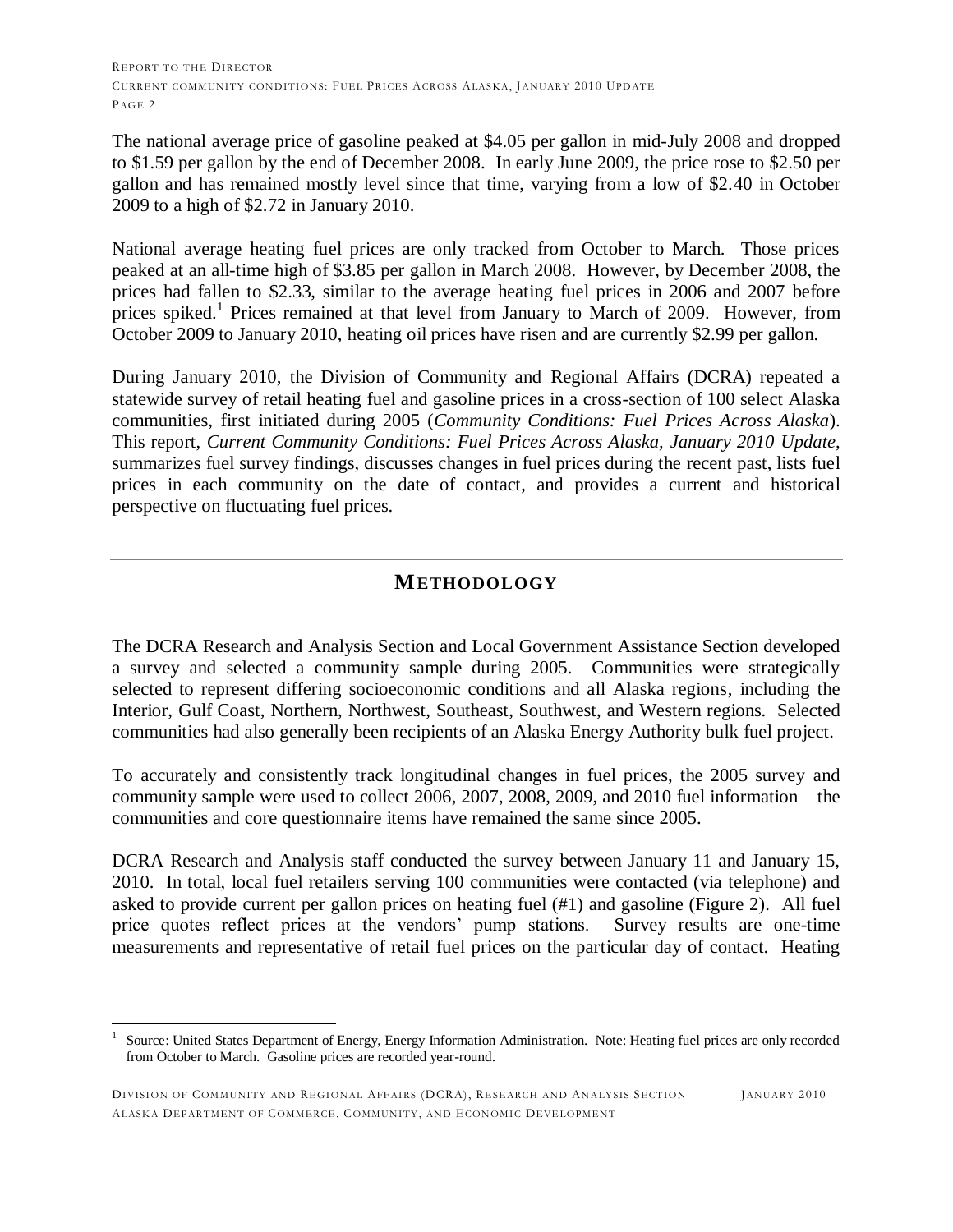The national average price of gasoline peaked at \$4.05 per gallon in mid-July 2008 and dropped to \$1.59 per gallon by the end of December 2008. In early June 2009, the price rose to \$2.50 per gallon and has remained mostly level since that time, varying from a low of \$2.40 in October 2009 to a high of \$2.72 in January 2010.

National average heating fuel prices are only tracked from October to March. Those prices peaked at an all-time high of \$3.85 per gallon in March 2008. However, by December 2008, the prices had fallen to \$2.33, similar to the average heating fuel prices in 2006 and 2007 before prices spiked.<sup>1</sup> Prices remained at that level from January to March of 2009. However, from October 2009 to January 2010, heating oil prices have risen and are currently \$2.99 per gallon.

During January 2010, the Division of Community and Regional Affairs (DCRA) repeated a statewide survey of retail heating fuel and gasoline prices in a cross-section of 100 select Alaska communities, first initiated during 2005 (*Community Conditions: Fuel Prices Across Alaska*). This report, *Current Community Conditions: Fuel Prices Across Alaska, January 2010 Update*, summarizes fuel survey findings, discusses changes in fuel prices during the recent past, lists fuel prices in each community on the date of contact, and provides a current and historical perspective on fluctuating fuel prices.

#### **METHODOLOGY**

The DCRA Research and Analysis Section and Local Government Assistance Section developed a survey and selected a community sample during 2005. Communities were strategically selected to represent differing socioeconomic conditions and all Alaska regions, including the Interior, Gulf Coast, Northern, Northwest, Southeast, Southwest, and Western regions. Selected communities had also generally been recipients of an Alaska Energy Authority bulk fuel project.

To accurately and consistently track longitudinal changes in fuel prices, the 2005 survey and community sample were used to collect 2006, 2007, 2008, 2009, and 2010 fuel information – the communities and core questionnaire items have remained the same since 2005.

DCRA Research and Analysis staff conducted the survey between January 11 and January 15, 2010. In total, local fuel retailers serving 100 communities were contacted (via telephone) and asked to provide current per gallon prices on heating fuel (#1) and gasoline (Figure 2). All fuel price quotes reflect prices at the vendors' pump stations. Survey results are one-time measurements and representative of retail fuel prices on the particular day of contact. Heating

 $\overline{a}$ 

<sup>1</sup> Source: United States Department of Energy, Energy Information Administration. Note: Heating fuel prices are only recorded from October to March. Gasoline prices are recorded year-round.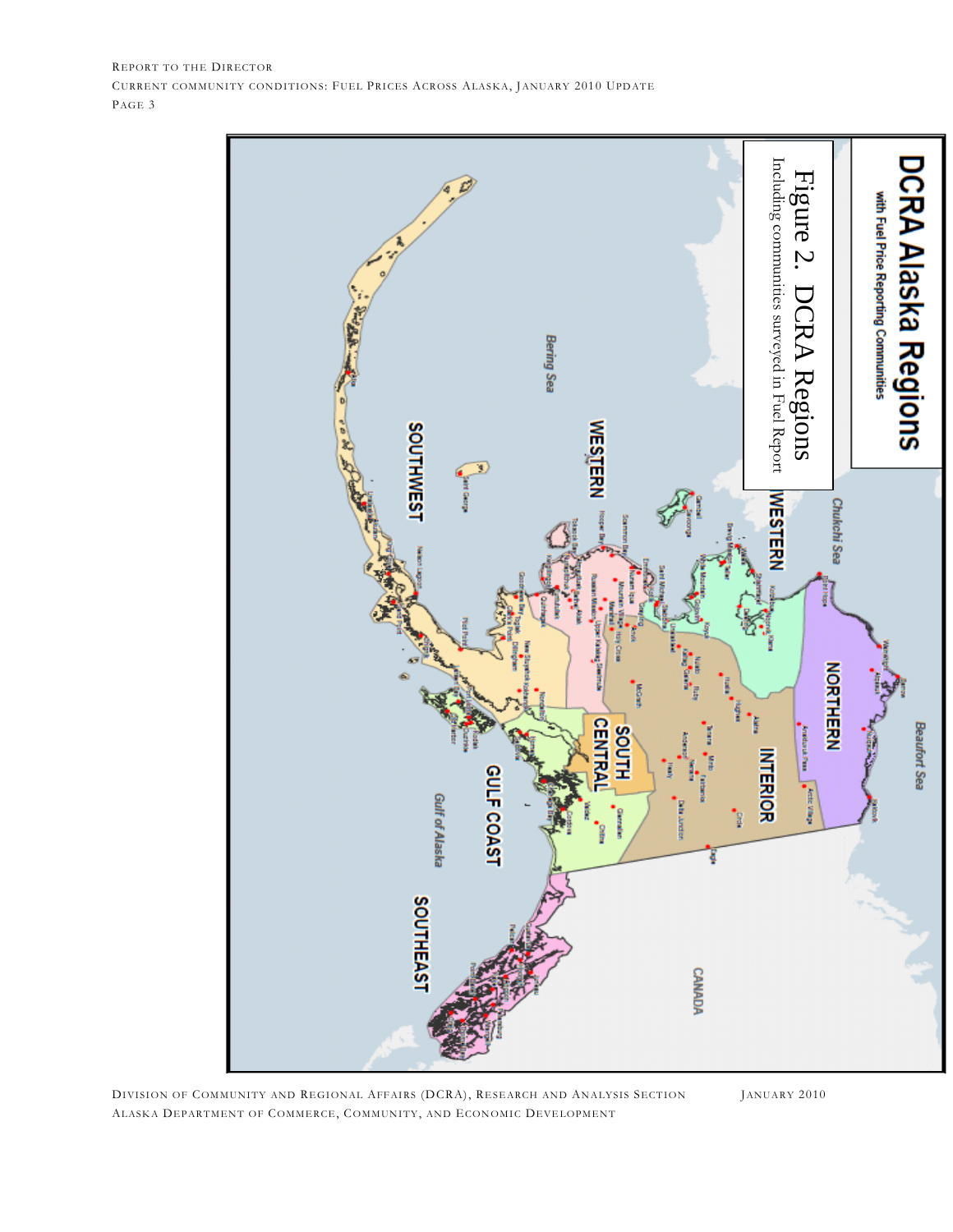

DIVISION OF COMMUNITY AND REGIONAL AFFAIRS (DCRA), RESEARCH AND ANALYSIS SECTION JANUARY 2010 ALASKA DEPARTMENT OF COMMERCE, COMMUNITY, AND ECONOMIC DEVELOPMENT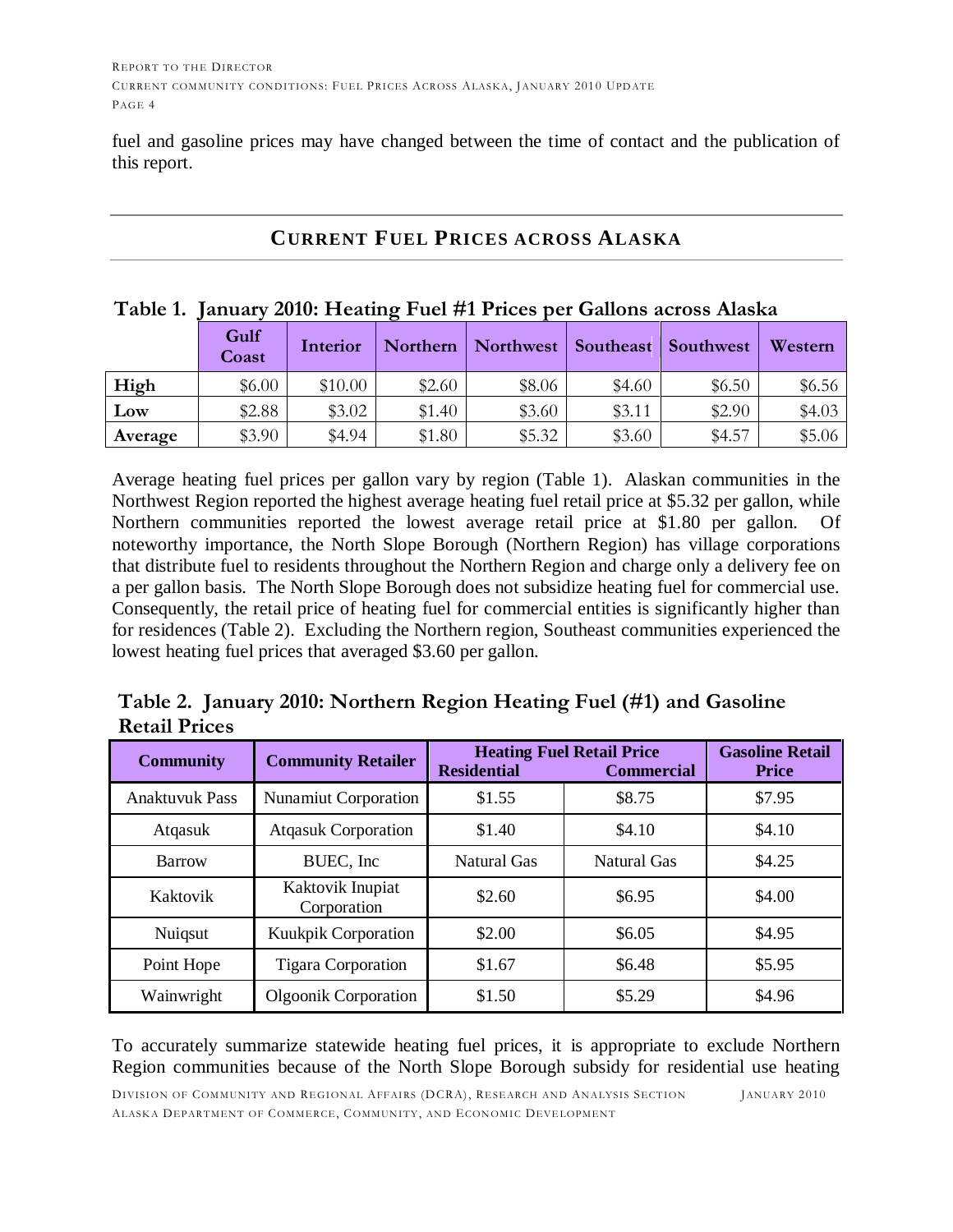fuel and gasoline prices may have changed between the time of contact and the publication of this report.

#### **CURRENT FUEL PRICES ACROSS ALASKA**

|      |               |          |        | Table 1. January 2010: Heating Fuel #1 Prices per Gallons across Alaska |        |          |        |
|------|---------------|----------|--------|-------------------------------------------------------------------------|--------|----------|--------|
|      | Gulf<br>Coast | Interior |        | Northern   Northwest   Southeast   Southwest   Western                  |        |          |        |
| High | \$6.00        | \$10.00  | \$2.60 | \$8.06                                                                  | \$4.60 | \$6.50\$ | \$6.56 |

**Low** | \$2.88 | \$3.02 | \$1.40 | \$3.60 | \$3.11 | \$2.90 \$4.03 **Average** | \$3.90 | \$4.94 | \$1.80 | \$5.32 | \$3.60 | \$4.57 | \$5.06

#### **Table 1. January 2010: Heating Fuel #1 Prices per Gallons across Alaska**

Average heating fuel prices per gallon vary by region (Table 1). Alaskan communities in the Northwest Region reported the highest average heating fuel retail price at \$5.32 per gallon, while Northern communities reported the lowest average retail price at \$1.80 per gallon. Of noteworthy importance, the North Slope Borough (Northern Region) has village corporations that distribute fuel to residents throughout the Northern Region and charge only a delivery fee on a per gallon basis. The North Slope Borough does not subsidize heating fuel for commercial use. Consequently, the retail price of heating fuel for commercial entities is significantly higher than for residences (Table 2). Excluding the Northern region, Southeast communities experienced the lowest heating fuel prices that averaged \$3.60 per gallon.

**Table 2. January 2010: Northern Region Heating Fuel (#1) and Gasoline Retail Prices**

| <b>Community</b>      | <b>Community Retailer</b>       | <b>Residential</b> | <b>Heating Fuel Retail Price</b><br><b>Commercial</b> | <b>Gasoline Retail</b><br><b>Price</b> |
|-----------------------|---------------------------------|--------------------|-------------------------------------------------------|----------------------------------------|
| <b>Anaktuvuk Pass</b> | Nunamiut Corporation            | \$1.55             | \$8.75                                                | \$7.95                                 |
| Atqasuk               | <b>Atqasuk Corporation</b>      | \$1.40             | \$4.10                                                | \$4.10                                 |
| Barrow                | BUEC, Inc.                      | Natural Gas        | Natural Gas                                           | \$4.25                                 |
| Kaktovik              | Kaktovik Inupiat<br>Corporation | \$2.60             | \$6.95                                                | \$4.00                                 |
| Nuiqsut               | <b>Kuukpik Corporation</b>      | \$2.00             | \$6.05                                                | \$4.95                                 |
| Point Hope            | <b>Tigara Corporation</b>       | \$1.67             | \$6.48                                                | \$5.95                                 |
| Wainwright            | <b>Olgoonik Corporation</b>     | \$1.50             | \$5.29                                                | \$4.96                                 |

To accurately summarize statewide heating fuel prices, it is appropriate to exclude Northern Region communities because of the North Slope Borough subsidy for residential use heating

DIVISION OF COMMUNITY AND REGIONAL AFFAIRS (DCRA), RESEARCH AND ANALYSIS SECTION JANUARY 2010 ALASKA DEPARTMENT OF COMMERCE, COMMUNITY, AND ECONOMIC DEVELOPMENT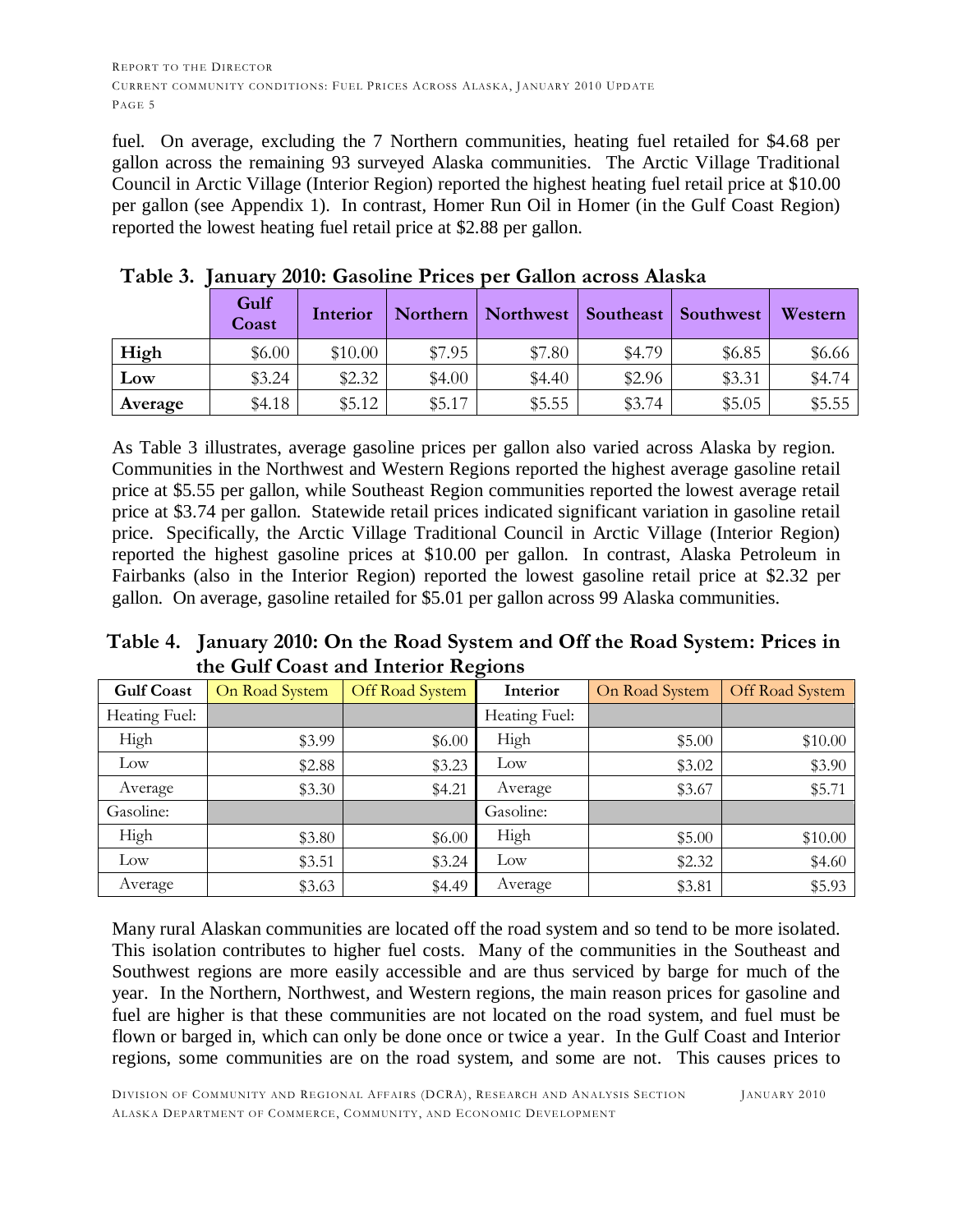fuel. On average, excluding the 7 Northern communities, heating fuel retailed for \$4.68 per gallon across the remaining 93 surveyed Alaska communities. The Arctic Village Traditional Council in Arctic Village (Interior Region) reported the highest heating fuel retail price at \$10.00 per gallon (see Appendix 1). In contrast, Homer Run Oil in Homer (in the Gulf Coast Region) reported the lowest heating fuel retail price at \$2.88 per gallon.

|         | Gulf<br>Coast | Interior | Northern | Northwest | Southeast | Southwest | Western |
|---------|---------------|----------|----------|-----------|-----------|-----------|---------|
| High    | \$6.00        | \$10.00  | \$7.95   | \$7.80    | \$4.79    | \$6.85    | \$6.66  |
| Low     | \$3.24        | \$2.32   | \$4.00   | \$4.40    | \$2.96    | \$3.31    | \$4.74  |
| Average | \$4.18        | \$5.12   | \$5.17   | \$5.55    | \$3.74    | \$5.05    | \$5.55  |

## **Table 3. January 2010: Gasoline Prices per Gallon across Alaska**

As Table 3 illustrates, average gasoline prices per gallon also varied across Alaska by region. Communities in the Northwest and Western Regions reported the highest average gasoline retail price at \$5.55 per gallon, while Southeast Region communities reported the lowest average retail price at \$3.74 per gallon. Statewide retail prices indicated significant variation in gasoline retail price. Specifically, the Arctic Village Traditional Council in Arctic Village (Interior Region) reported the highest gasoline prices at \$10.00 per gallon. In contrast, Alaska Petroleum in Fairbanks (also in the Interior Region) reported the lowest gasoline retail price at \$2.32 per gallon. On average, gasoline retailed for \$5.01 per gallon across 99 Alaska communities.

**Table 4. January 2010: On the Road System and Off the Road System: Prices in the Gulf Coast and Interior Regions**

| <b>Gulf Coast</b> | On Road System | Off Road System | Interior      | On Road System | Off Road System |
|-------------------|----------------|-----------------|---------------|----------------|-----------------|
| Heating Fuel:     |                |                 | Heating Fuel: |                |                 |
| High              | \$3.99         | \$6.00          | High          | \$5.00         | \$10.00         |
| Low               | \$2.88         | \$3.23          | Low           | \$3.02         | \$3.90          |
| Average           | \$3.30         | \$4.21          | Average       | \$3.67         | \$5.71          |
| Gasoline:         |                |                 | Gasoline:     |                |                 |
| High              | \$3.80         | \$6.00          | High          | \$5.00         | \$10.00         |
| Low               | \$3.51         | \$3.24          | Low           | \$2.32         | \$4.60          |
| Average           | \$3.63         | \$4.49          | Average       | \$3.81         | \$5.93          |

Many rural Alaskan communities are located off the road system and so tend to be more isolated. This isolation contributes to higher fuel costs. Many of the communities in the Southeast and Southwest regions are more easily accessible and are thus serviced by barge for much of the year. In the Northern, Northwest, and Western regions, the main reason prices for gasoline and fuel are higher is that these communities are not located on the road system, and fuel must be flown or barged in, which can only be done once or twice a year. In the Gulf Coast and Interior regions, some communities are on the road system, and some are not. This causes prices to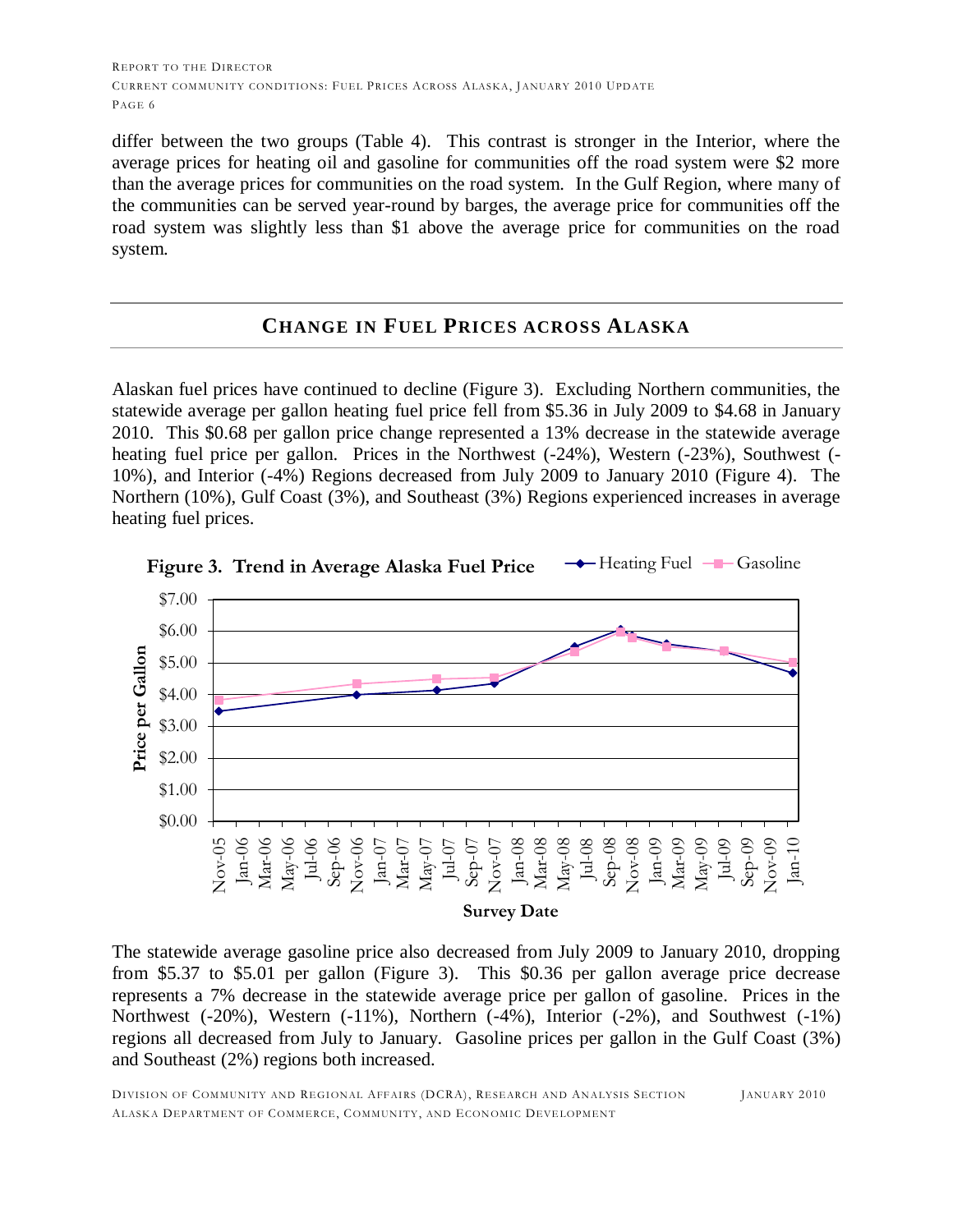differ between the two groups (Table 4). This contrast is stronger in the Interior, where the average prices for heating oil and gasoline for communities off the road system were \$2 more than the average prices for communities on the road system. In the Gulf Region, where many of the communities can be served year-round by barges, the average price for communities off the road system was slightly less than \$1 above the average price for communities on the road system.

#### **CHANGE IN FUEL PRICES ACROSS ALASKA**

Alaskan fuel prices have continued to decline (Figure 3). Excluding Northern communities, the statewide average per gallon heating fuel price fell from \$5.36 in July 2009 to \$4.68 in January 2010. This \$0.68 per gallon price change represented a 13% decrease in the statewide average heating fuel price per gallon. Prices in the Northwest (-24%), Western (-23%), Southwest (- 10%), and Interior (-4%) Regions decreased from July 2009 to January 2010 (Figure 4). The Northern (10%), Gulf Coast (3%), and Southeast (3%) Regions experienced increases in average heating fuel prices.



**Figure 3. Trend in Average Alaska Fuel Price**  $\rightarrow$  Heating Fuel  $-\rightarrow$  Gasoline

The statewide average gasoline price also decreased from July 2009 to January 2010, dropping from \$5.37 to \$5.01 per gallon (Figure 3). This \$0.36 per gallon average price decrease represents a 7% decrease in the statewide average price per gallon of gasoline. Prices in the Northwest (-20%), Western (-11%), Northern (-4%), Interior (-2%), and Southwest (-1%) regions all decreased from July to January. Gasoline prices per gallon in the Gulf Coast (3%) and Southeast (2%) regions both increased.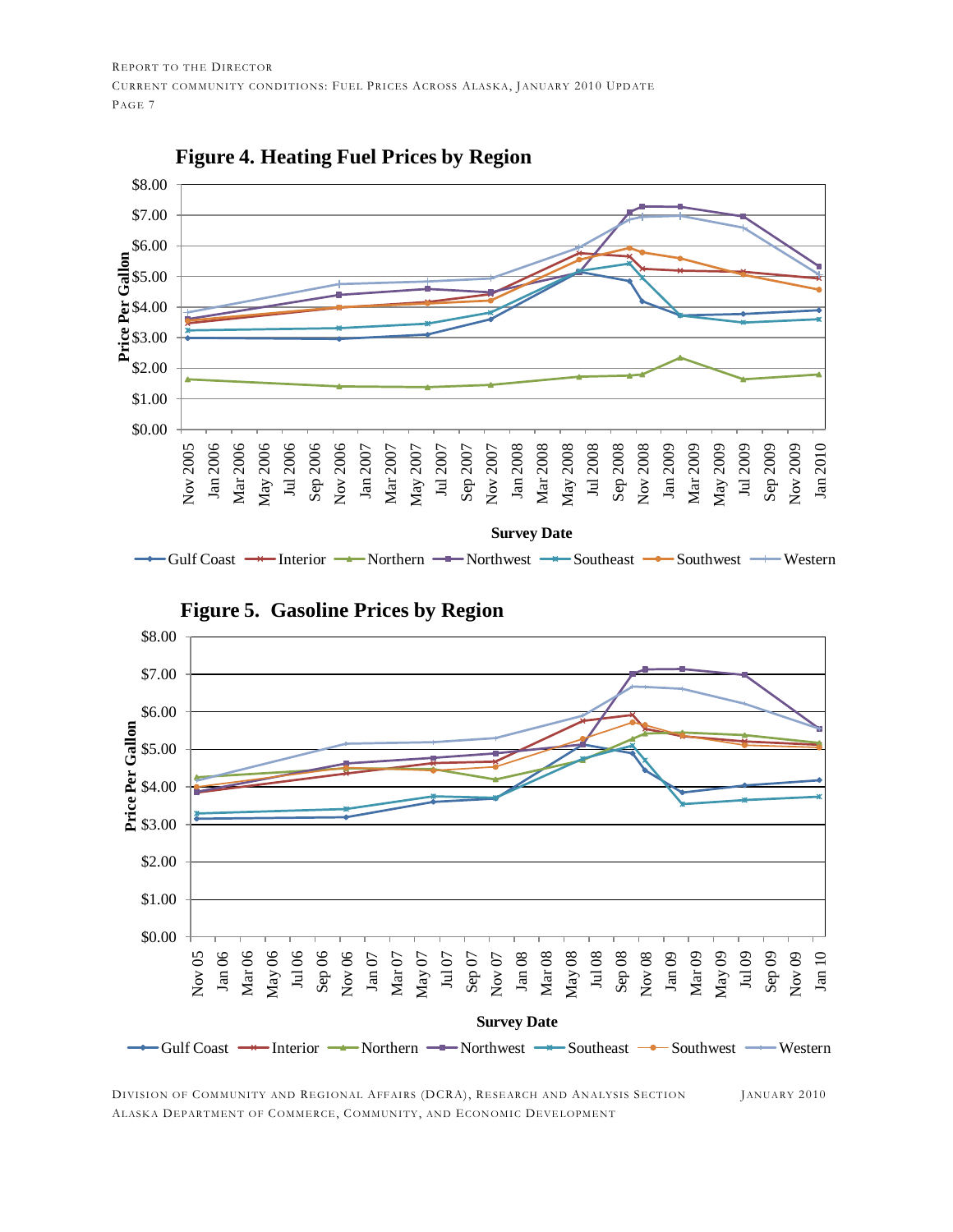

DIVISION OF COMMUNITY AND REGIONAL AFFAIRS (DCRA), RESEARCH AND ANALYSIS SECTION JANUARY 2010 ALASKA DEPARTMENT OF COMMERCE, COMMUNITY, AND ECONOMIC DEVELOPMENT

Gulf Coast  $\rightarrow$  Interior  $\rightarrow$  Northern  $\rightarrow$  Northwest  $\rightarrow$  Southeast  $\rightarrow$  Southwest  $\rightarrow$  Western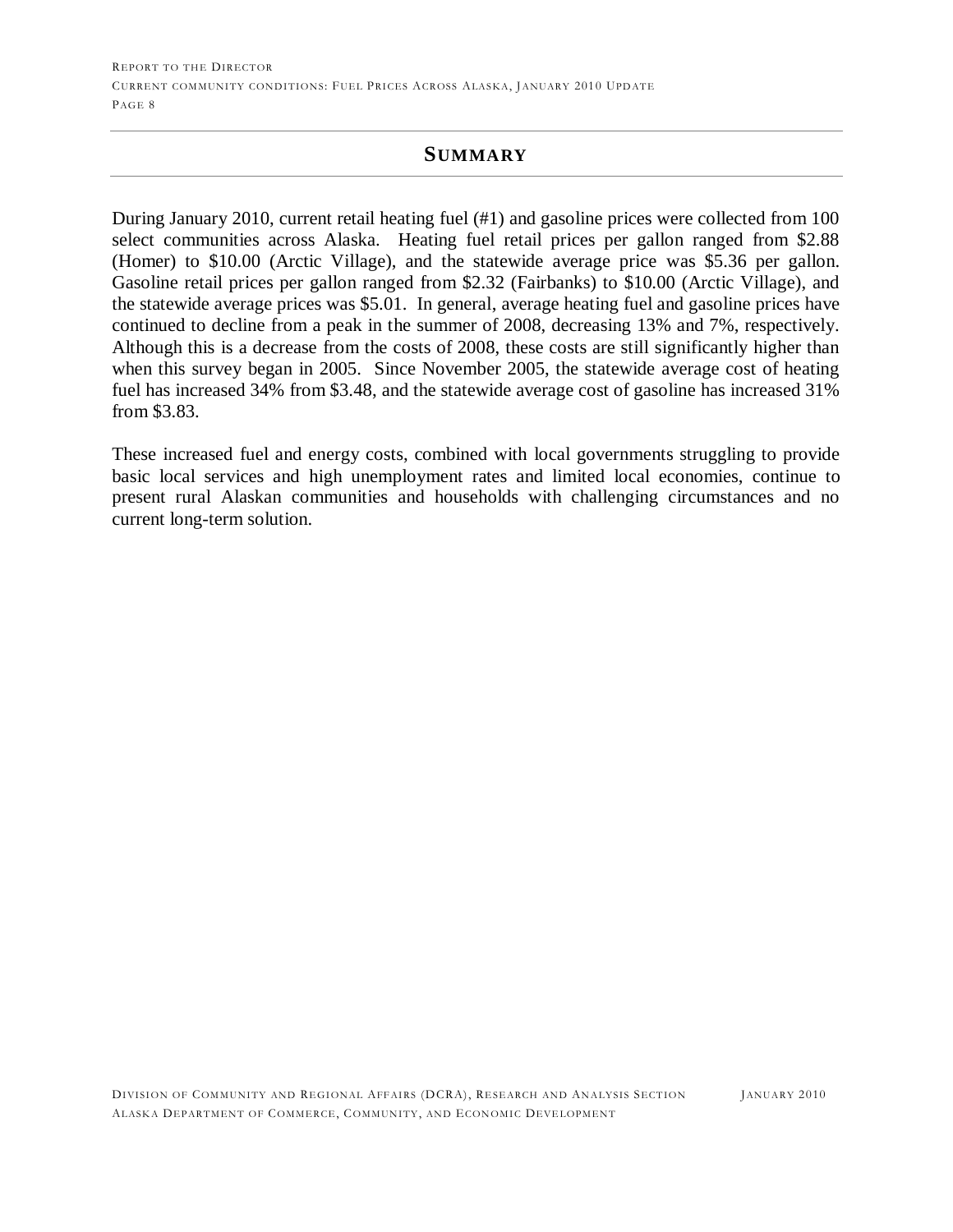#### **SUMMARY**

During January 2010, current retail heating fuel (#1) and gasoline prices were collected from 100 select communities across Alaska. Heating fuel retail prices per gallon ranged from \$2.88 (Homer) to \$10.00 (Arctic Village), and the statewide average price was \$5.36 per gallon. Gasoline retail prices per gallon ranged from \$2.32 (Fairbanks) to \$10.00 (Arctic Village), and the statewide average prices was \$5.01. In general, average heating fuel and gasoline prices have continued to decline from a peak in the summer of 2008, decreasing 13% and 7%, respectively. Although this is a decrease from the costs of 2008, these costs are still significantly higher than when this survey began in 2005. Since November 2005, the statewide average cost of heating fuel has increased 34% from \$3.48, and the statewide average cost of gasoline has increased 31% from \$3.83.

These increased fuel and energy costs, combined with local governments struggling to provide basic local services and high unemployment rates and limited local economies, continue to present rural Alaskan communities and households with challenging circumstances and no current long-term solution.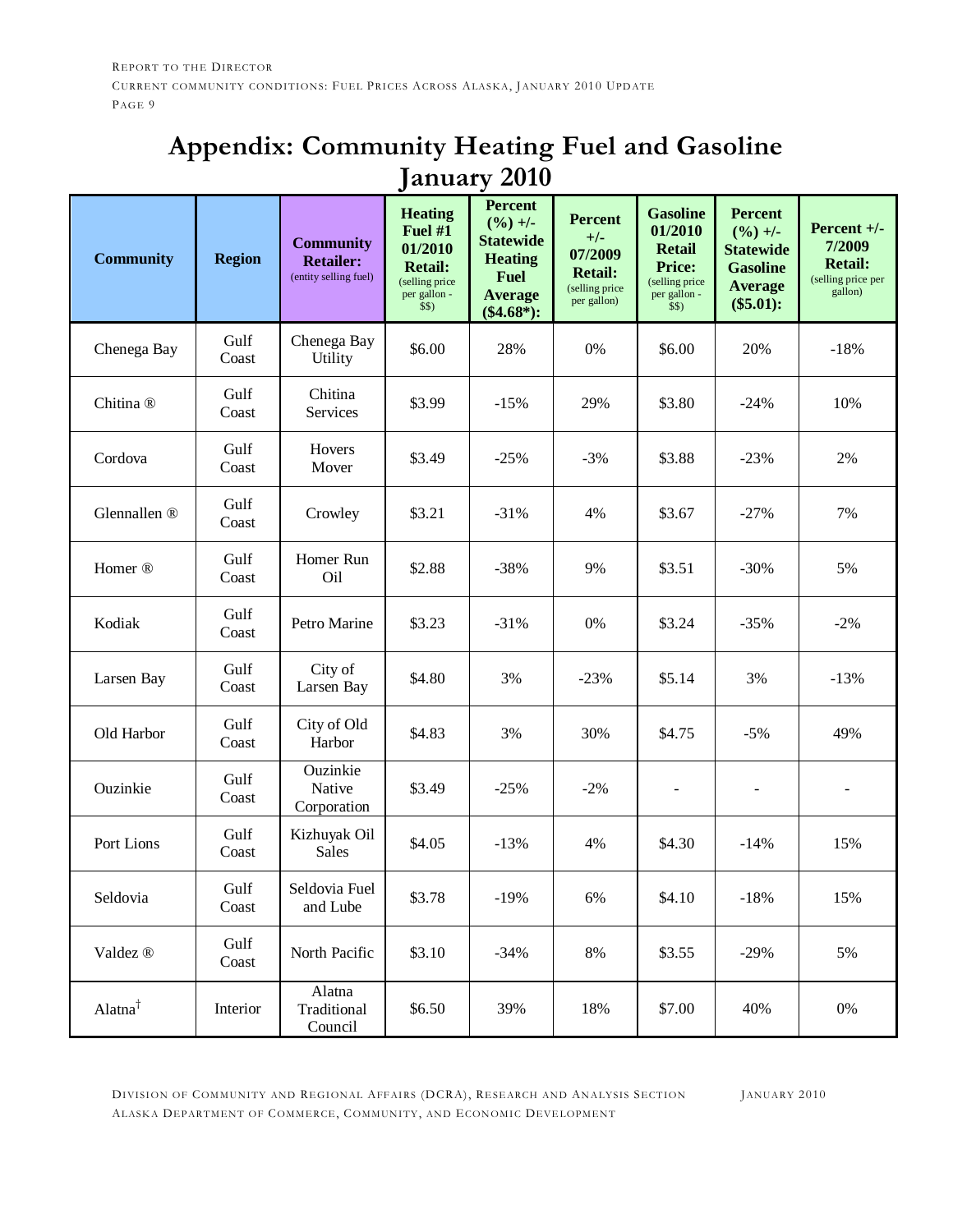# **Appendix: Community Heating Fuel and Gasoline January 2010**

| <b>Community</b>     | <b>Region</b> | <b>Community</b><br><b>Retailer:</b><br>(entity selling fuel) | <b>Heating</b><br>Fuel #1<br>01/2010<br><b>Retail:</b><br>(selling price<br>per gallon -<br>\$\$) | <b>Percent</b><br>$(\frac{9}{6}) +$ -<br><b>Statewide</b><br><b>Heating</b><br><b>Fuel</b><br><b>Average</b><br>$(\$4.68*)$ : | <b>Percent</b><br>$+/-$<br>07/2009<br><b>Retail:</b><br>(selling price<br>per gallon) | <b>Gasoline</b><br>01/2010<br><b>Retail</b><br><b>Price:</b><br>(selling price)<br>per gallon -<br>\$\$) | <b>Percent</b><br>$(\frac{9}{6}) +$ -<br><b>Statewide</b><br><b>Gasoline</b><br><b>Average</b><br>(\$5.01): | Percent +/-<br>7/2009<br><b>Retail:</b><br>(selling price per<br>gallon) |
|----------------------|---------------|---------------------------------------------------------------|---------------------------------------------------------------------------------------------------|-------------------------------------------------------------------------------------------------------------------------------|---------------------------------------------------------------------------------------|----------------------------------------------------------------------------------------------------------|-------------------------------------------------------------------------------------------------------------|--------------------------------------------------------------------------|
| Chenega Bay          | Gulf<br>Coast | Chenega Bay<br>Utility                                        | \$6.00                                                                                            | 28%                                                                                                                           | 0%                                                                                    | \$6.00                                                                                                   | 20%                                                                                                         | $-18%$                                                                   |
| Chitina <sup>®</sup> | Gulf<br>Coast | Chitina<br>Services                                           | \$3.99                                                                                            | $-15%$                                                                                                                        | 29%                                                                                   | \$3.80                                                                                                   | $-24%$                                                                                                      | 10%                                                                      |
| Cordova              | Gulf<br>Coast | Hovers<br>Mover                                               | \$3.49                                                                                            | $-25%$                                                                                                                        | $-3%$                                                                                 | \$3.88                                                                                                   | $-23%$                                                                                                      | 2%                                                                       |
| Glennallen ®         | Gulf<br>Coast | Crowley                                                       | \$3.21                                                                                            | $-31%$                                                                                                                        | 4%                                                                                    | \$3.67                                                                                                   | $-27%$                                                                                                      | 7%                                                                       |
| Homer <sup>®</sup>   | Gulf<br>Coast | Homer Run<br>Oil                                              | \$2.88                                                                                            | $-38%$                                                                                                                        | 9%                                                                                    | \$3.51                                                                                                   | $-30%$                                                                                                      | 5%                                                                       |
| Kodiak               | Gulf<br>Coast | Petro Marine                                                  | \$3.23                                                                                            | $-31%$                                                                                                                        | 0%                                                                                    | \$3.24                                                                                                   | $-35%$                                                                                                      | $-2%$                                                                    |
| Larsen Bay           | Gulf<br>Coast | City of<br>Larsen Bay                                         | \$4.80                                                                                            | 3%                                                                                                                            | $-23%$                                                                                | \$5.14                                                                                                   | 3%                                                                                                          | $-13%$                                                                   |
| Old Harbor           | Gulf<br>Coast | City of Old<br>Harbor                                         | \$4.83                                                                                            | 3%                                                                                                                            | 30%                                                                                   | \$4.75                                                                                                   | $-5%$                                                                                                       | 49%                                                                      |
| Ouzinkie             | Gulf<br>Coast | Ouzinkie<br>Native<br>Corporation                             | \$3.49                                                                                            | $-25%$                                                                                                                        | $-2\%$                                                                                | $\blacksquare$                                                                                           |                                                                                                             |                                                                          |
| Port Lions           | Gulf<br>Coast | Kizhuyak Oil<br>Sales                                         | \$4.05                                                                                            | $-13%$                                                                                                                        | 4%                                                                                    | \$4.30                                                                                                   | $-14%$                                                                                                      | 15%                                                                      |
| Seldovia             | Gulf<br>Coast | Seldovia Fuel<br>and Lube                                     | \$3.78                                                                                            | $-19%$                                                                                                                        | 6%                                                                                    | \$4.10                                                                                                   | $-18%$                                                                                                      | 15%                                                                      |
| Valdez ®             | Gulf<br>Coast | North Pacific                                                 | \$3.10                                                                                            | $-34%$                                                                                                                        | $8\%$                                                                                 | \$3.55                                                                                                   | $-29%$                                                                                                      | 5%                                                                       |
| Alatna <sup>†</sup>  | Interior      | Alatna<br>Traditional<br>Council                              | \$6.50                                                                                            | 39%                                                                                                                           | 18%                                                                                   | \$7.00                                                                                                   | 40%                                                                                                         | $0\%$                                                                    |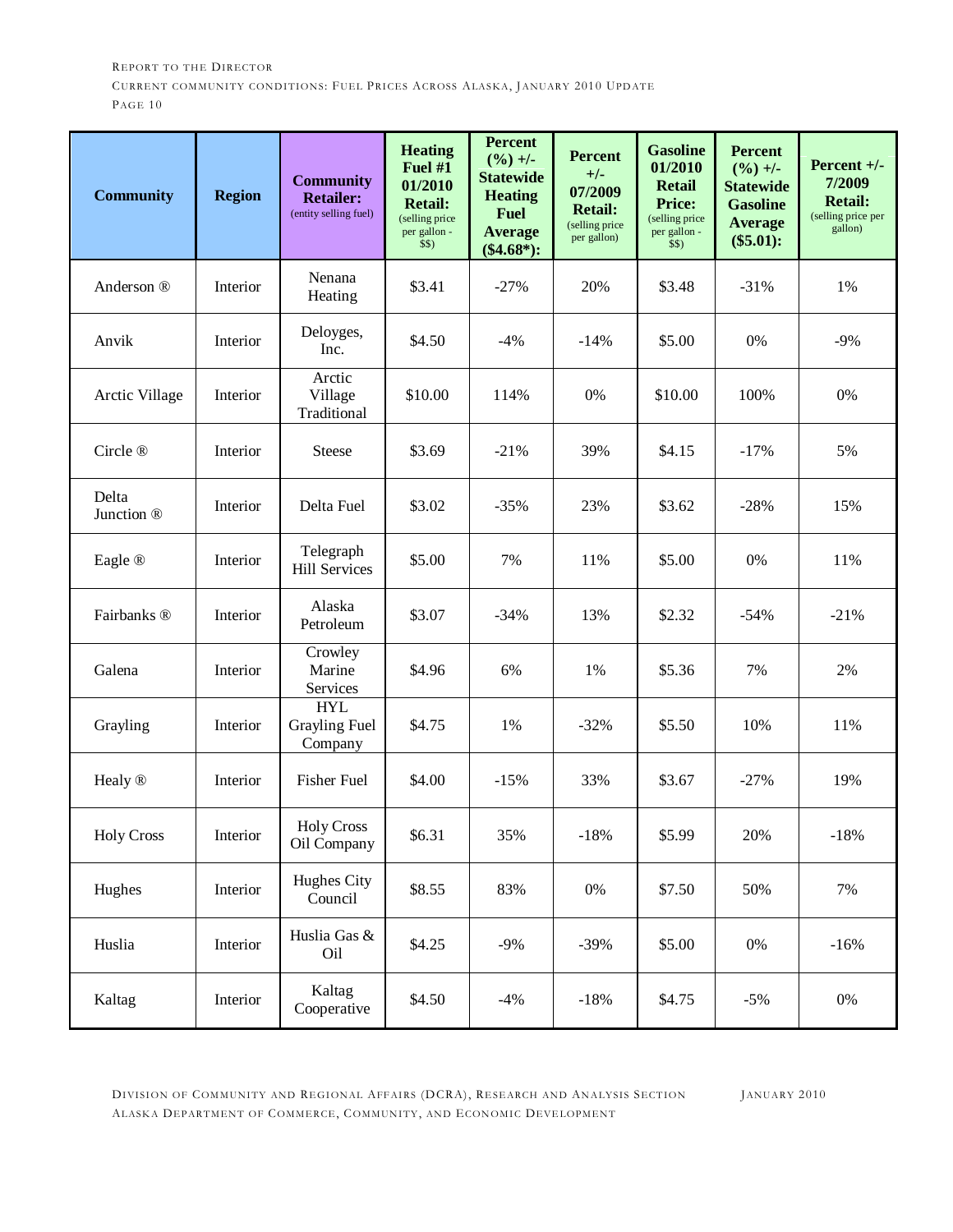| <b>Community</b>    | <b>Region</b> | <b>Community</b><br><b>Retailer:</b><br>(entity selling fuel) | <b>Heating</b><br>Fuel #1<br>01/2010<br><b>Retail:</b><br>(selling price<br>per gallon -<br>\$\$) | <b>Percent</b><br>$(\frac{9}{6}) +$ -<br><b>Statewide</b><br><b>Heating</b><br><b>Fuel</b><br><b>Average</b><br>$(\$4.68*)$ : | <b>Percent</b><br>$+/-$<br>07/2009<br><b>Retail:</b><br>(selling price<br>per gallon) | <b>Gasoline</b><br>01/2010<br><b>Retail</b><br><b>Price:</b><br>(selling price<br>per gallon -<br>\$\$) | <b>Percent</b><br>$(\frac{9}{6}) +$ -<br><b>Statewide</b><br><b>Gasoline</b><br><b>Average</b><br>(\$5.01): | Percent +/-<br>7/2009<br><b>Retail:</b><br>(selling price per<br>gallon) |
|---------------------|---------------|---------------------------------------------------------------|---------------------------------------------------------------------------------------------------|-------------------------------------------------------------------------------------------------------------------------------|---------------------------------------------------------------------------------------|---------------------------------------------------------------------------------------------------------|-------------------------------------------------------------------------------------------------------------|--------------------------------------------------------------------------|
| Anderson ®          | Interior      | Nenana<br>Heating                                             | \$3.41                                                                                            | $-27%$                                                                                                                        | 20%                                                                                   | \$3.48                                                                                                  | $-31%$                                                                                                      | 1%                                                                       |
| Anvik               | Interior      | Deloyges,<br>Inc.                                             | \$4.50                                                                                            | $-4%$                                                                                                                         | $-14%$                                                                                | \$5.00                                                                                                  | 0%                                                                                                          | $-9%$                                                                    |
| Arctic Village      | Interior      | Arctic<br>Village<br>Traditional                              | \$10.00                                                                                           | 114%                                                                                                                          | 0%                                                                                    | \$10.00                                                                                                 | 100%                                                                                                        | 0%                                                                       |
| Circle ®            | Interior      | <b>Steese</b>                                                 | \$3.69                                                                                            | $-21%$                                                                                                                        | 39%                                                                                   | \$4.15                                                                                                  | $-17%$                                                                                                      | 5%                                                                       |
| Delta<br>Junction ® | Interior      | Delta Fuel                                                    | \$3.02                                                                                            | $-35%$                                                                                                                        | 23%                                                                                   | \$3.62                                                                                                  | $-28%$                                                                                                      | 15%                                                                      |
| Eagle ®             | Interior      | Telegraph<br><b>Hill Services</b>                             | \$5.00                                                                                            | 7%                                                                                                                            | 11%                                                                                   | \$5.00                                                                                                  | 0%                                                                                                          | 11%                                                                      |
| Fairbanks ®         | Interior      | Alaska<br>Petroleum                                           | \$3.07                                                                                            | $-34%$                                                                                                                        | 13%                                                                                   | \$2.32                                                                                                  | $-54%$                                                                                                      | $-21%$                                                                   |
| Galena              | Interior      | Crowley<br>Marine<br>Services                                 | \$4.96                                                                                            | 6%                                                                                                                            | 1%                                                                                    | \$5.36                                                                                                  | 7%                                                                                                          | 2%                                                                       |
| Grayling            | Interior      | <b>HYL</b><br><b>Grayling Fuel</b><br>Company                 | \$4.75                                                                                            | 1%                                                                                                                            | $-32%$                                                                                | \$5.50                                                                                                  | 10%                                                                                                         | 11%                                                                      |
| Healy ®             | Interior      | <b>Fisher Fuel</b>                                            | \$4.00                                                                                            | $-15%$                                                                                                                        | 33%                                                                                   | \$3.67                                                                                                  | $-27%$                                                                                                      | 19%                                                                      |
| <b>Holy Cross</b>   | Interior      | <b>Holy Cross</b><br>Oil Company                              | \$6.31                                                                                            | 35%                                                                                                                           | $-18%$                                                                                | \$5.99                                                                                                  | 20%                                                                                                         | $-18%$                                                                   |
| Hughes              | Interior      | Hughes City<br>Council                                        | \$8.55                                                                                            | 83%                                                                                                                           | $0\%$                                                                                 | \$7.50                                                                                                  | 50%                                                                                                         | 7%                                                                       |
| Huslia              | Interior      | Huslia Gas &<br>Oil                                           | \$4.25                                                                                            | $-9%$                                                                                                                         | $-39%$                                                                                | \$5.00                                                                                                  | 0%                                                                                                          | $-16%$                                                                   |
| Kaltag              | Interior      | Kaltag<br>Cooperative                                         | \$4.50                                                                                            | $-4%$                                                                                                                         | $-18%$                                                                                | \$4.75                                                                                                  | $-5%$                                                                                                       | $0\%$                                                                    |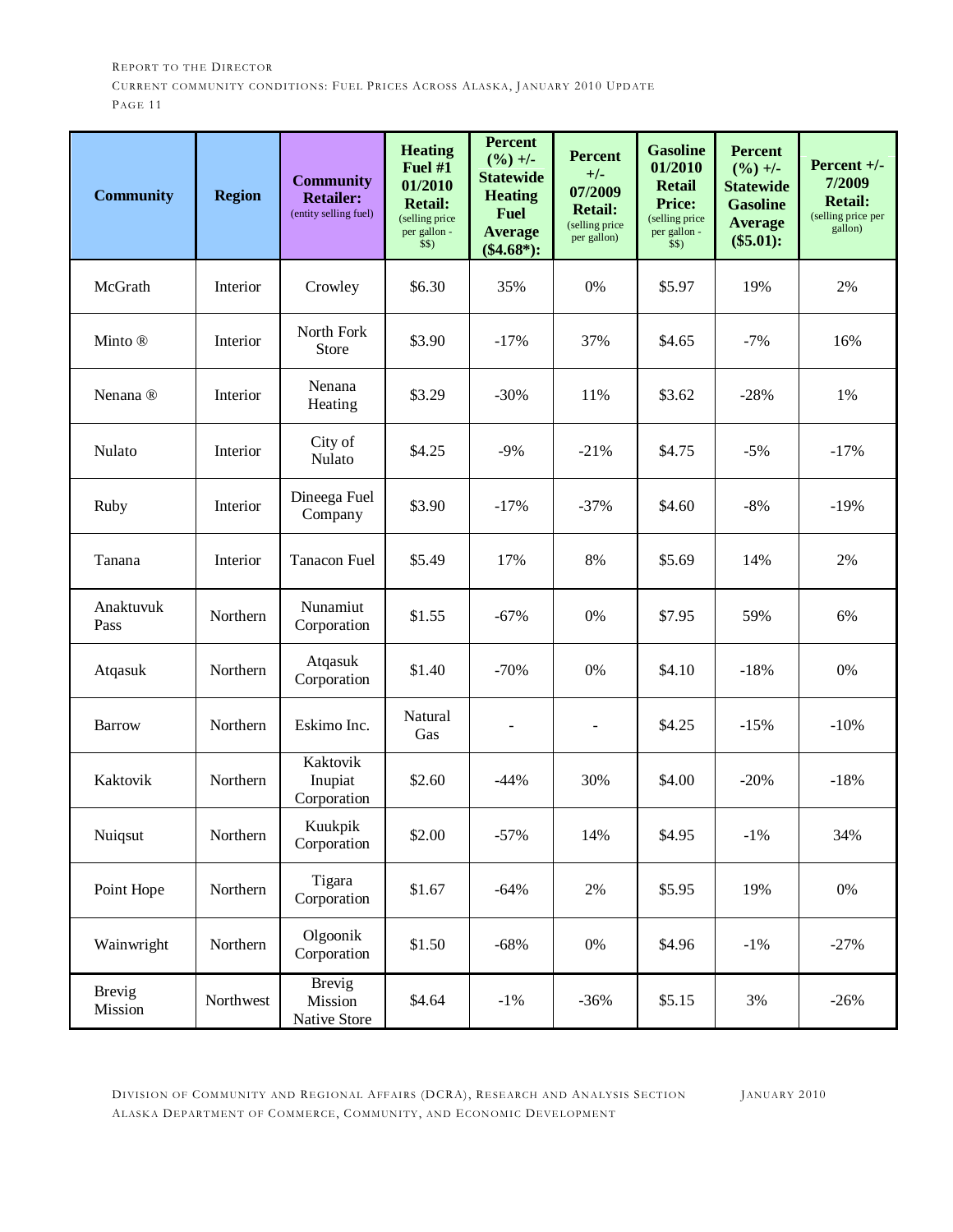| <b>Community</b>         | <b>Region</b> | <b>Community</b><br><b>Retailer:</b><br>(entity selling fuel) | <b>Heating</b><br>Fuel #1<br>01/2010<br><b>Retail:</b><br>(selling price)<br>per gallon -<br>\$\$) | <b>Percent</b><br>$(\frac{9}{6}) +$ -<br><b>Statewide</b><br><b>Heating</b><br><b>Fuel</b><br><b>Average</b><br>$(\$4.68*)$ : | <b>Percent</b><br>$+/-$<br>07/2009<br><b>Retail:</b><br>(selling price<br>per gallon) | <b>Gasoline</b><br>01/2010<br><b>Retail</b><br><b>Price:</b><br>(selling price)<br>per gallon -<br>\$\$) | <b>Percent</b><br>$(\frac{9}{6}) +$ -<br><b>Statewide</b><br><b>Gasoline</b><br><b>Average</b><br>(\$5.01): | Percent $+/-$<br>7/2009<br><b>Retail:</b><br>(selling price per<br>gallon) |
|--------------------------|---------------|---------------------------------------------------------------|----------------------------------------------------------------------------------------------------|-------------------------------------------------------------------------------------------------------------------------------|---------------------------------------------------------------------------------------|----------------------------------------------------------------------------------------------------------|-------------------------------------------------------------------------------------------------------------|----------------------------------------------------------------------------|
| McGrath                  | Interior      | Crowley                                                       | \$6.30                                                                                             | 35%                                                                                                                           | 0%                                                                                    | \$5.97                                                                                                   | 19%                                                                                                         | 2%                                                                         |
| Minto ®                  | Interior      | North Fork<br>Store                                           | \$3.90                                                                                             | $-17%$                                                                                                                        | 37%                                                                                   | \$4.65                                                                                                   | $-7%$                                                                                                       | 16%                                                                        |
| Nenana <sup>®</sup>      | Interior      | Nenana<br>Heating                                             | \$3.29                                                                                             | $-30%$                                                                                                                        | 11%                                                                                   | \$3.62                                                                                                   | $-28%$                                                                                                      | 1%                                                                         |
| Nulato                   | Interior      | City of<br>Nulato                                             | \$4.25                                                                                             | $-9%$                                                                                                                         | $-21%$                                                                                | \$4.75                                                                                                   | $-5%$                                                                                                       | $-17%$                                                                     |
| Ruby                     | Interior      | Dineega Fuel<br>Company                                       | \$3.90                                                                                             | $-17%$                                                                                                                        | $-37%$                                                                                | \$4.60                                                                                                   | $-8%$                                                                                                       | $-19%$                                                                     |
| Tanana                   | Interior      | <b>Tanacon Fuel</b>                                           | \$5.49                                                                                             | 17%                                                                                                                           | 8%                                                                                    | \$5.69                                                                                                   | 14%                                                                                                         | 2%                                                                         |
| Anaktuvuk<br>Pass        | Northern      | Nunamiut<br>Corporation                                       | \$1.55                                                                                             | $-67%$                                                                                                                        | 0%                                                                                    | \$7.95                                                                                                   | 59%                                                                                                         | 6%                                                                         |
| Atqasuk                  | Northern      | Atqasuk<br>Corporation                                        | \$1.40                                                                                             | $-70%$                                                                                                                        | 0%                                                                                    | \$4.10                                                                                                   | $-18%$                                                                                                      | 0%                                                                         |
| <b>Barrow</b>            | Northern      | Eskimo Inc.                                                   | Natural<br>Gas                                                                                     | ÷,                                                                                                                            | ÷,                                                                                    | \$4.25                                                                                                   | $-15%$                                                                                                      | $-10%$                                                                     |
| Kaktovik                 | Northern      | Kaktovik<br>Inupiat<br>Corporation                            | \$2.60                                                                                             | $-44%$                                                                                                                        | 30%                                                                                   | \$4.00                                                                                                   | $-20%$                                                                                                      | $-18%$                                                                     |
| Nuiqsut                  | Northern      | Kuukpik<br>Corporation                                        | \$2.00                                                                                             | $-57%$                                                                                                                        | 14%                                                                                   | \$4.95                                                                                                   | $-1\%$                                                                                                      | 34%                                                                        |
| Point Hope               | Northern      | Tigara<br>Corporation                                         | \$1.67                                                                                             | $-64%$                                                                                                                        | 2%                                                                                    | \$5.95                                                                                                   | 19%                                                                                                         | $0\%$                                                                      |
| Wainwright               | Northern      | Olgoonik<br>Corporation                                       | \$1.50                                                                                             | $-68%$                                                                                                                        | 0%                                                                                    | \$4.96                                                                                                   | $-1\%$                                                                                                      | $-27%$                                                                     |
| <b>Brevig</b><br>Mission | Northwest     | <b>Brevig</b><br>Mission<br>Native Store                      | \$4.64                                                                                             | $-1\%$                                                                                                                        | $-36%$                                                                                | \$5.15                                                                                                   | 3%                                                                                                          | $-26%$                                                                     |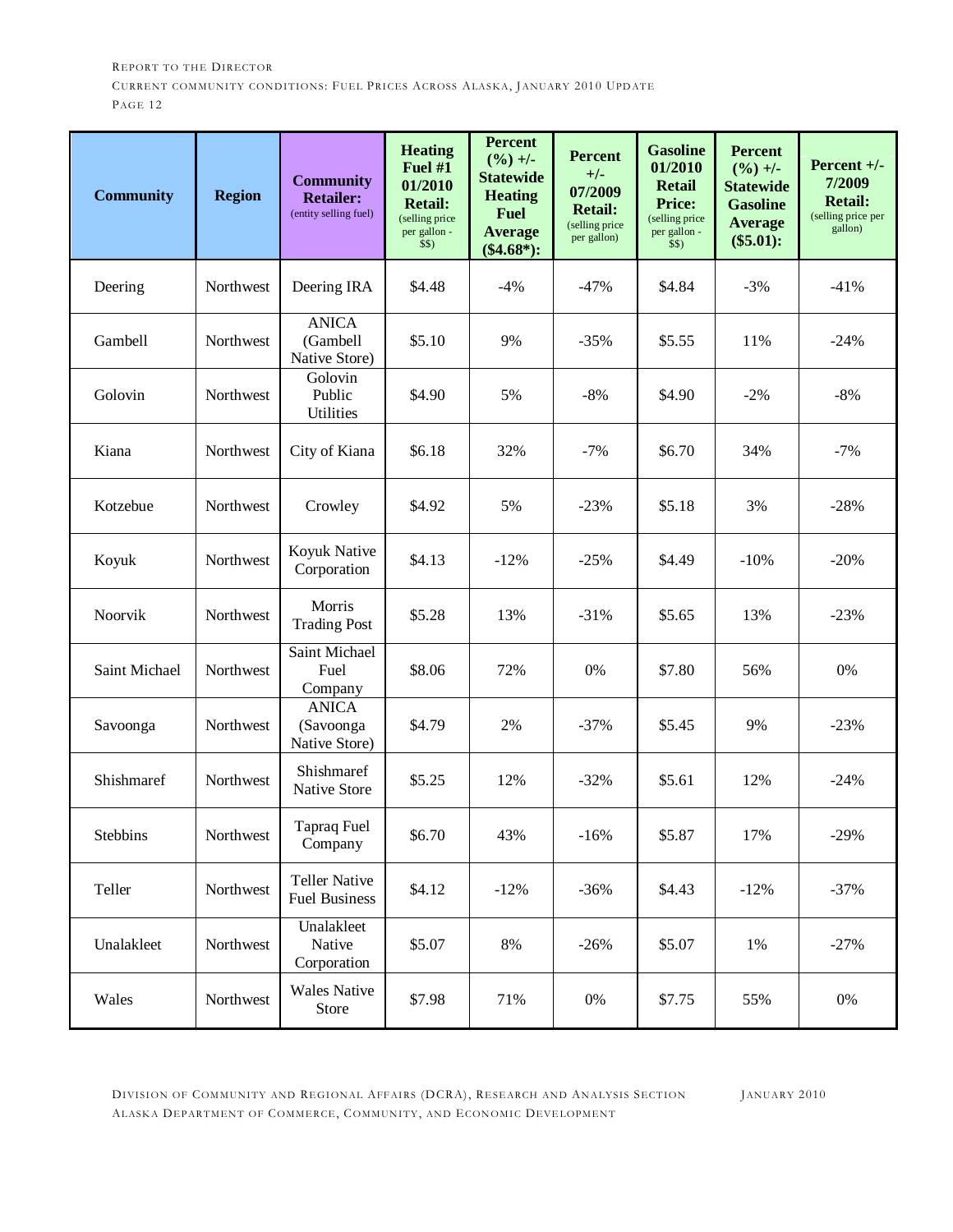| <b>Community</b> | <b>Region</b> | <b>Community</b><br><b>Retailer:</b><br>(entity selling fuel) | <b>Heating</b><br>Fuel #1<br>01/2010<br><b>Retail:</b><br>(selling price)<br>per gallon -<br>\$\$) | <b>Percent</b><br>$(\frac{9}{6}) +$ -<br><b>Statewide</b><br><b>Heating</b><br><b>Fuel</b><br><b>Average</b><br>$(\$4.68*)$ : | <b>Percent</b><br>$+/-$<br>07/2009<br><b>Retail:</b><br>(selling price<br>per gallon) | <b>Gasoline</b><br>01/2010<br><b>Retail</b><br><b>Price:</b><br>(selling price)<br>per gallon -<br>\$\$) | <b>Percent</b><br>$(\frac{9}{6}) +$ -<br><b>Statewide</b><br><b>Gasoline</b><br><b>Average</b><br>(\$5.01): | Percent +/-<br>7/2009<br><b>Retail:</b><br>(selling price per<br>gallon) |
|------------------|---------------|---------------------------------------------------------------|----------------------------------------------------------------------------------------------------|-------------------------------------------------------------------------------------------------------------------------------|---------------------------------------------------------------------------------------|----------------------------------------------------------------------------------------------------------|-------------------------------------------------------------------------------------------------------------|--------------------------------------------------------------------------|
| Deering          | Northwest     | Deering IRA                                                   | \$4.48                                                                                             | $-4%$                                                                                                                         | $-47%$                                                                                | \$4.84                                                                                                   | $-3%$                                                                                                       | $-41%$                                                                   |
| Gambell          | Northwest     | <b>ANICA</b><br>(Gambell<br>Native Store)                     | \$5.10                                                                                             | 9%                                                                                                                            | $-35%$                                                                                | \$5.55                                                                                                   | 11%                                                                                                         | $-24%$                                                                   |
| Golovin          | Northwest     | Golovin<br>Public<br><b>Utilities</b>                         | \$4.90                                                                                             | 5%                                                                                                                            | $-8%$                                                                                 | \$4.90                                                                                                   | $-2%$                                                                                                       | $-8%$                                                                    |
| Kiana            | Northwest     | City of Kiana                                                 | \$6.18                                                                                             | 32%                                                                                                                           | $-7%$                                                                                 | \$6.70                                                                                                   | 34%                                                                                                         | $-7%$                                                                    |
| Kotzebue         | Northwest     | Crowley                                                       | \$4.92                                                                                             | 5%                                                                                                                            | $-23%$                                                                                | \$5.18                                                                                                   | 3%                                                                                                          | $-28%$                                                                   |
| Koyuk            | Northwest     | Koyuk Native<br>Corporation                                   | \$4.13                                                                                             | $-12%$                                                                                                                        | $-25%$                                                                                | \$4.49                                                                                                   | $-10%$                                                                                                      | $-20%$                                                                   |
| Noorvik          | Northwest     | Morris<br><b>Trading Post</b>                                 | \$5.28                                                                                             | 13%                                                                                                                           | $-31%$                                                                                | \$5.65                                                                                                   | 13%                                                                                                         | $-23%$                                                                   |
| Saint Michael    | Northwest     | Saint Michael<br>Fuel<br>Company                              | \$8.06                                                                                             | 72%                                                                                                                           | 0%                                                                                    | \$7.80                                                                                                   | 56%                                                                                                         | $0\%$                                                                    |
| Savoonga         | Northwest     | <b>ANICA</b><br>(Savoonga<br>Native Store)                    | \$4.79                                                                                             | 2%                                                                                                                            | $-37%$                                                                                | \$5.45                                                                                                   | 9%                                                                                                          | $-23%$                                                                   |
| Shishmaref       | Northwest     | Shishmaref<br><b>Native Store</b>                             | \$5.25                                                                                             | 12%                                                                                                                           | $-32%$                                                                                | \$5.61                                                                                                   | 12%                                                                                                         | $-24%$                                                                   |
| <b>Stebbins</b>  | Northwest     | <b>Tapraq Fuel</b><br>Company                                 | \$6.70                                                                                             | 43%                                                                                                                           | $-16%$                                                                                | \$5.87                                                                                                   | 17%                                                                                                         | $-29%$                                                                   |
| Teller           | Northwest     | <b>Teller Native</b><br><b>Fuel Business</b>                  | \$4.12                                                                                             | $-12%$                                                                                                                        | $-36%$                                                                                | \$4.43                                                                                                   | $-12%$                                                                                                      | $-37%$                                                                   |
| Unalakleet       | Northwest     | Unalakleet<br>Native<br>Corporation                           | \$5.07                                                                                             | $8\%$                                                                                                                         | $-26%$                                                                                | \$5.07                                                                                                   | 1%                                                                                                          | $-27%$                                                                   |
| Wales            | Northwest     | <b>Wales Native</b><br>Store                                  | \$7.98                                                                                             | 71%                                                                                                                           | 0%                                                                                    | \$7.75                                                                                                   | 55%                                                                                                         | $0\%$                                                                    |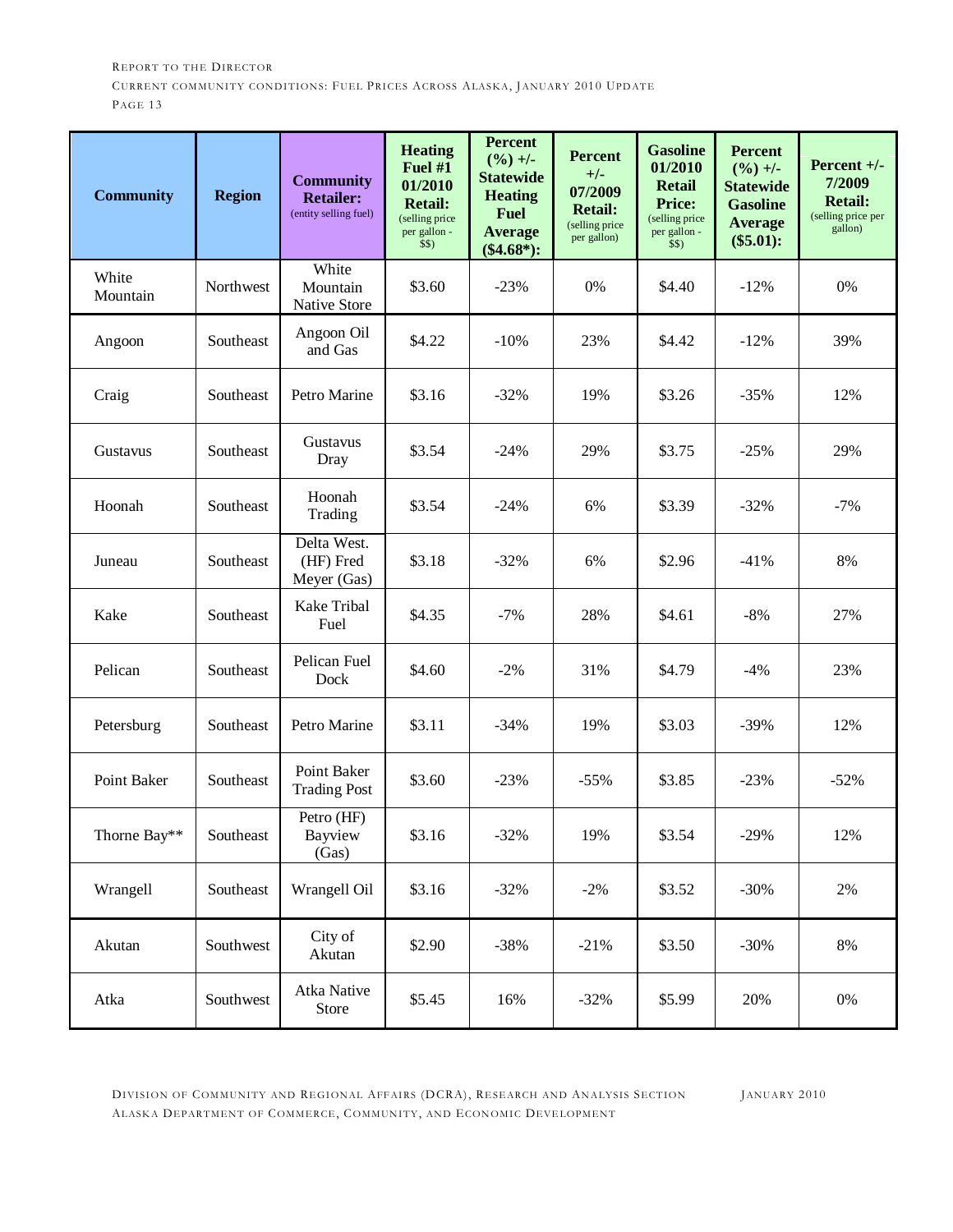| <b>Community</b>  | <b>Region</b> | <b>Community</b><br><b>Retailer:</b><br>(entity selling fuel) | <b>Heating</b><br>Fuel #1<br>01/2010<br><b>Retail:</b><br>(selling price<br>per gallon -<br>\$\$) | <b>Percent</b><br>$(\frac{9}{6}) +$ -<br><b>Statewide</b><br><b>Heating</b><br><b>Fuel</b><br><b>Average</b><br>$(\$4.68*)$ : | <b>Percent</b><br>$+/-$<br>07/2009<br><b>Retail:</b><br>(selling price<br>per gallon) | <b>Gasoline</b><br>01/2010<br><b>Retail</b><br><b>Price:</b><br>(selling price)<br>per gallon -<br>\$\$) | <b>Percent</b><br>$(\frac{9}{6}) +$ -<br><b>Statewide</b><br><b>Gasoline</b><br><b>Average</b><br>(\$5.01): | Percent +/-<br>7/2009<br><b>Retail:</b><br>(selling price per<br>gallon) |
|-------------------|---------------|---------------------------------------------------------------|---------------------------------------------------------------------------------------------------|-------------------------------------------------------------------------------------------------------------------------------|---------------------------------------------------------------------------------------|----------------------------------------------------------------------------------------------------------|-------------------------------------------------------------------------------------------------------------|--------------------------------------------------------------------------|
| White<br>Mountain | Northwest     | White<br>Mountain<br>Native Store                             | \$3.60                                                                                            | $-23%$                                                                                                                        | 0%                                                                                    | \$4.40                                                                                                   | $-12%$                                                                                                      | $0\%$                                                                    |
| Angoon            | Southeast     | Angoon Oil<br>and Gas                                         | \$4.22                                                                                            | $-10%$                                                                                                                        | 23%                                                                                   | \$4.42                                                                                                   | $-12%$                                                                                                      | 39%                                                                      |
| Craig             | Southeast     | Petro Marine                                                  | \$3.16                                                                                            | $-32%$                                                                                                                        | 19%                                                                                   | \$3.26                                                                                                   | $-35%$                                                                                                      | 12%                                                                      |
| Gustavus          | Southeast     | Gustavus<br>Dray                                              | \$3.54                                                                                            | $-24%$                                                                                                                        | 29%                                                                                   | \$3.75                                                                                                   | $-25%$                                                                                                      | 29%                                                                      |
| Hoonah            | Southeast     | Hoonah<br>Trading                                             | \$3.54                                                                                            | $-24%$                                                                                                                        | 6%                                                                                    | \$3.39                                                                                                   | $-32%$                                                                                                      | $-7%$                                                                    |
| Juneau            | Southeast     | Delta West.<br>(HF) Fred<br>Meyer (Gas)                       | \$3.18                                                                                            | $-32%$                                                                                                                        | 6%                                                                                    | \$2.96                                                                                                   | $-41%$                                                                                                      | 8%                                                                       |
| Kake              | Southeast     | Kake Tribal<br>Fuel                                           | \$4.35                                                                                            | $-7%$                                                                                                                         | 28%                                                                                   | \$4.61                                                                                                   | $-8%$                                                                                                       | 27%                                                                      |
| Pelican           | Southeast     | Pelican Fuel<br>Dock                                          | \$4.60                                                                                            | $-2%$                                                                                                                         | 31%                                                                                   | \$4.79                                                                                                   | $-4%$                                                                                                       | 23%                                                                      |
| Petersburg        | Southeast     | Petro Marine                                                  | \$3.11                                                                                            | $-34%$                                                                                                                        | 19%                                                                                   | \$3.03                                                                                                   | $-39%$                                                                                                      | 12%                                                                      |
| Point Baker       | Southeast     | Point Baker<br><b>Trading Post</b>                            | \$3.60                                                                                            | $-23%$                                                                                                                        | $-55%$                                                                                | \$3.85                                                                                                   | $-23%$                                                                                                      | $-52%$                                                                   |
| Thorne Bay**      | Southeast     | Petro (HF)<br>Bayview<br>(Gas)                                | \$3.16                                                                                            | $-32%$                                                                                                                        | 19%                                                                                   | \$3.54                                                                                                   | $-29%$                                                                                                      | 12%                                                                      |
| Wrangell          | Southeast     | Wrangell Oil                                                  | \$3.16                                                                                            | $-32%$                                                                                                                        | $-2%$                                                                                 | \$3.52                                                                                                   | $-30%$                                                                                                      | 2%                                                                       |
| Akutan            | Southwest     | City of<br>Akutan                                             | \$2.90                                                                                            | $-38%$                                                                                                                        | $-21%$                                                                                | \$3.50                                                                                                   | $-30%$                                                                                                      | $8\%$                                                                    |
| Atka              | Southwest     | Atka Native<br>Store                                          | \$5.45                                                                                            | 16%                                                                                                                           | $-32%$                                                                                | \$5.99                                                                                                   | 20%                                                                                                         | $0\%$                                                                    |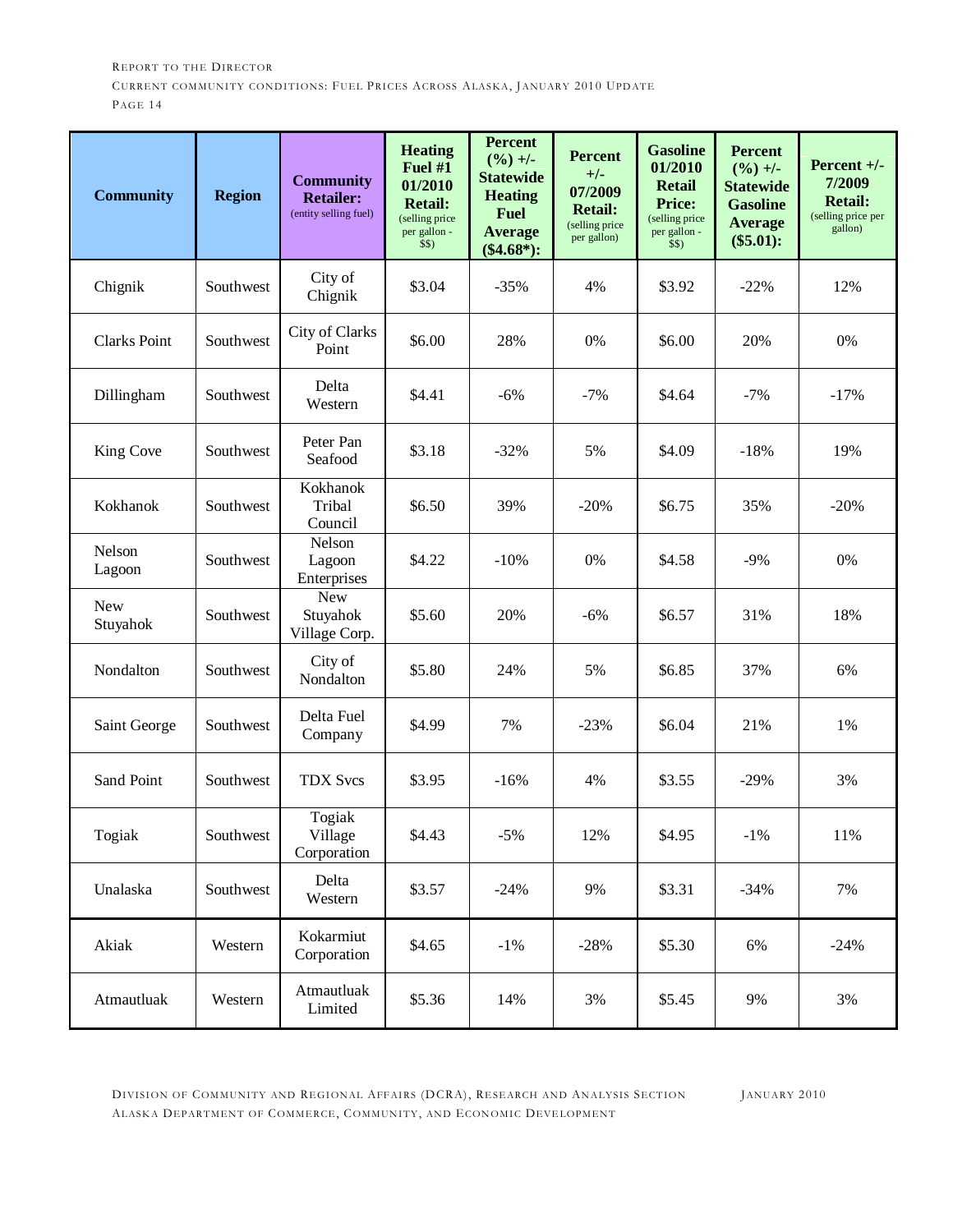| <b>Community</b>       | <b>Region</b> | <b>Community</b><br><b>Retailer:</b><br>(entity selling fuel) | <b>Heating</b><br>Fuel #1<br>01/2010<br><b>Retail:</b><br>(selling price)<br>per gallon -<br>\$\$) | <b>Percent</b><br>$(\frac{9}{6}) +$ -<br><b>Statewide</b><br><b>Heating</b><br><b>Fuel</b><br><b>Average</b><br>$(\$4.68*)$ : | <b>Percent</b><br>$+/-$<br>07/2009<br><b>Retail:</b><br>(selling price<br>per gallon) | <b>Gasoline</b><br>01/2010<br><b>Retail</b><br><b>Price:</b><br>(selling price)<br>per gallon -<br>\$\$) | <b>Percent</b><br>$(\frac{9}{6}) +$ -<br><b>Statewide</b><br><b>Gasoline</b><br><b>Average</b><br>(\$5.01): | Percent $+/-$<br>7/2009<br><b>Retail:</b><br>(selling price per<br>gallon) |
|------------------------|---------------|---------------------------------------------------------------|----------------------------------------------------------------------------------------------------|-------------------------------------------------------------------------------------------------------------------------------|---------------------------------------------------------------------------------------|----------------------------------------------------------------------------------------------------------|-------------------------------------------------------------------------------------------------------------|----------------------------------------------------------------------------|
| Chignik                | Southwest     | City of<br>Chignik                                            | \$3.04                                                                                             | $-35%$                                                                                                                        | 4%                                                                                    | \$3.92                                                                                                   | $-22%$                                                                                                      | 12%                                                                        |
| <b>Clarks Point</b>    | Southwest     | City of Clarks<br>Point                                       | \$6.00                                                                                             | 28%                                                                                                                           | 0%                                                                                    | \$6.00                                                                                                   | 20%                                                                                                         | 0%                                                                         |
| Dillingham             | Southwest     | Delta<br>Western                                              | \$4.41                                                                                             | $-6%$                                                                                                                         | $-7%$                                                                                 | \$4.64                                                                                                   | $-7%$                                                                                                       | $-17%$                                                                     |
| King Cove              | Southwest     | Peter Pan<br>Seafood                                          | \$3.18                                                                                             | $-32%$                                                                                                                        | 5%                                                                                    | \$4.09                                                                                                   | $-18%$                                                                                                      | 19%                                                                        |
| Kokhanok               | Southwest     | Kokhanok<br>Tribal<br>Council                                 | \$6.50                                                                                             | 39%                                                                                                                           | $-20%$                                                                                | \$6.75                                                                                                   | 35%                                                                                                         | $-20%$                                                                     |
| Nelson<br>Lagoon       | Southwest     | Nelson<br>Lagoon<br>Enterprises                               | \$4.22                                                                                             | $-10%$                                                                                                                        | 0%                                                                                    | \$4.58                                                                                                   | $-9%$                                                                                                       | 0%                                                                         |
| <b>New</b><br>Stuyahok | Southwest     | <b>New</b><br>Stuyahok<br>Village Corp.                       | \$5.60                                                                                             | 20%                                                                                                                           | $-6%$                                                                                 | \$6.57                                                                                                   | 31%                                                                                                         | 18%                                                                        |
| Nondalton              | Southwest     | City of<br>Nondalton                                          | \$5.80                                                                                             | 24%                                                                                                                           | 5%                                                                                    | \$6.85                                                                                                   | 37%                                                                                                         | 6%                                                                         |
| Saint George           | Southwest     | Delta Fuel<br>Company                                         | \$4.99                                                                                             | 7%                                                                                                                            | $-23%$                                                                                | \$6.04                                                                                                   | 21%                                                                                                         | 1%                                                                         |
| <b>Sand Point</b>      | Southwest     | <b>TDX Svcs</b>                                               | \$3.95                                                                                             | $-16%$                                                                                                                        | 4%                                                                                    | \$3.55                                                                                                   | $-29%$                                                                                                      | 3%                                                                         |
| Togiak                 | Southwest     | Togiak<br>Village<br>Corporation                              | \$4.43                                                                                             | $-5%$                                                                                                                         | 12%                                                                                   | \$4.95                                                                                                   | $-1\%$                                                                                                      | 11%                                                                        |
| Unalaska               | Southwest     | Delta<br>Western                                              | \$3.57                                                                                             | $-24%$                                                                                                                        | 9%                                                                                    | \$3.31                                                                                                   | $-34%$                                                                                                      | 7%                                                                         |
| Akiak                  | Western       | Kokarmiut<br>Corporation                                      | \$4.65                                                                                             | $-1\%$                                                                                                                        | $-28%$                                                                                | \$5.30                                                                                                   | 6%                                                                                                          | $-24%$                                                                     |
| Atmautluak             | Western       | Atmautluak<br>Limited                                         | \$5.36                                                                                             | 14%                                                                                                                           | 3%                                                                                    | \$5.45                                                                                                   | 9%                                                                                                          | 3%                                                                         |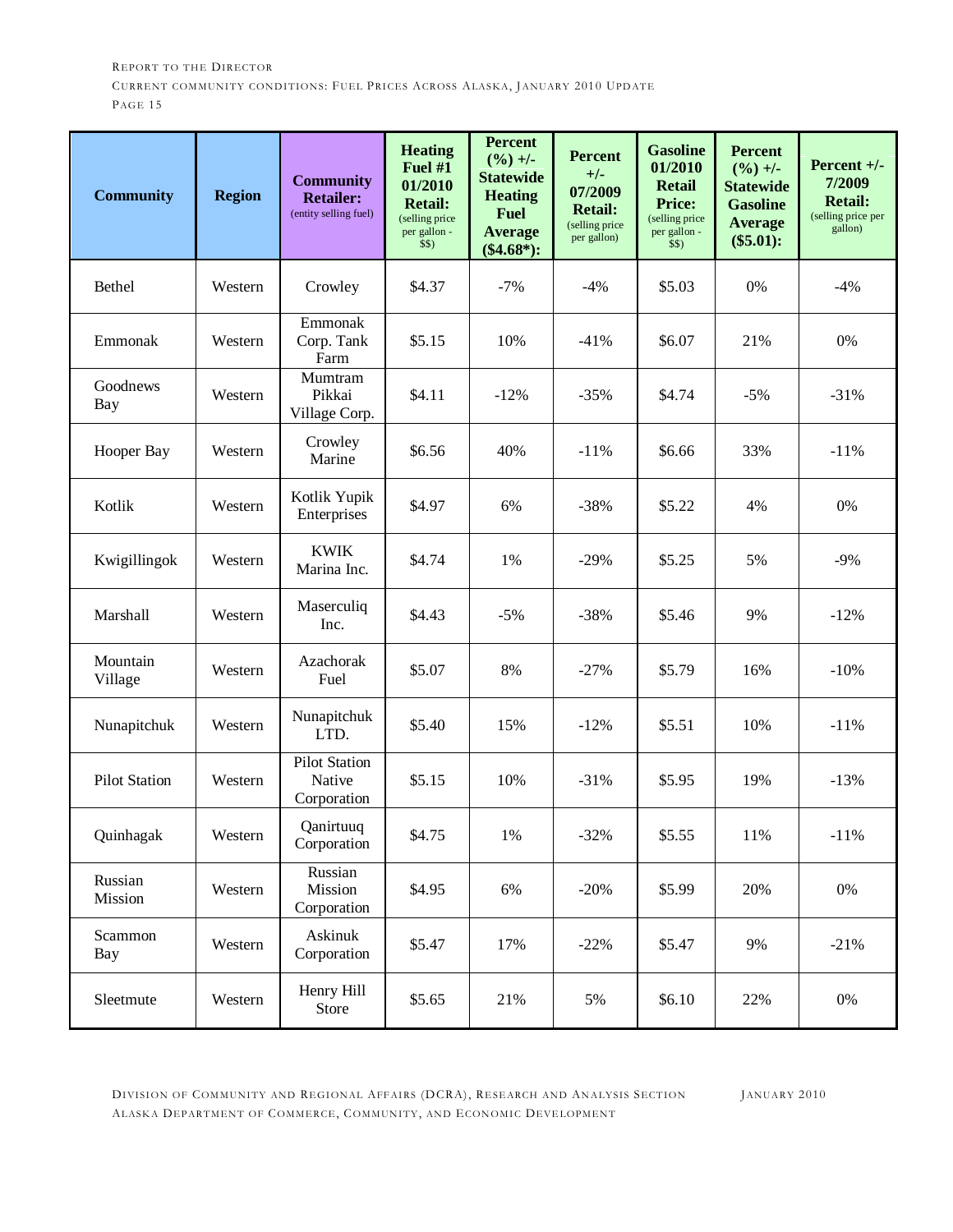| <b>Community</b>     | <b>Region</b> | <b>Community</b><br><b>Retailer:</b><br>(entity selling fuel) | <b>Heating</b><br>Fuel #1<br>01/2010<br><b>Retail:</b><br>(selling price<br>per gallon -<br>\$\$) | <b>Percent</b><br>$(\frac{9}{6}) +$ -<br><b>Statewide</b><br><b>Heating</b><br><b>Fuel</b><br><b>Average</b><br>$(\$4.68*)$ : | <b>Percent</b><br>$+/-$<br>07/2009<br><b>Retail:</b><br>(selling price<br>per gallon) | <b>Gasoline</b><br>01/2010<br><b>Retail</b><br><b>Price:</b><br>(selling price<br>per gallon -<br>\$\$) | <b>Percent</b><br>$(\frac{9}{6}) +$ -<br><b>Statewide</b><br><b>Gasoline</b><br><b>Average</b><br>$(\$5.01):$ | Percent $+/-$<br>7/2009<br><b>Retail:</b><br>(selling price per<br>gallon) |
|----------------------|---------------|---------------------------------------------------------------|---------------------------------------------------------------------------------------------------|-------------------------------------------------------------------------------------------------------------------------------|---------------------------------------------------------------------------------------|---------------------------------------------------------------------------------------------------------|---------------------------------------------------------------------------------------------------------------|----------------------------------------------------------------------------|
| Bethel               | Western       | Crowley                                                       | \$4.37                                                                                            | $-7%$                                                                                                                         | $-4%$                                                                                 | \$5.03                                                                                                  | 0%                                                                                                            | $-4%$                                                                      |
| Emmonak              | Western       | Emmonak<br>Corp. Tank<br>Farm                                 | \$5.15                                                                                            | 10%                                                                                                                           | $-41%$                                                                                | \$6.07                                                                                                  | 21%                                                                                                           | 0%                                                                         |
| Goodnews<br>Bay      | Western       | Mumtram<br>Pikkai<br>Village Corp.                            | \$4.11                                                                                            | $-12%$                                                                                                                        | $-35%$                                                                                | \$4.74                                                                                                  | $-5%$                                                                                                         | $-31%$                                                                     |
| Hooper Bay           | Western       | Crowley<br>Marine                                             | \$6.56                                                                                            | 40%                                                                                                                           | $-11%$                                                                                | \$6.66                                                                                                  | 33%                                                                                                           | $-11%$                                                                     |
| Kotlik               | Western       | Kotlik Yupik<br>Enterprises                                   | \$4.97                                                                                            | 6%                                                                                                                            | $-38%$                                                                                | \$5.22                                                                                                  | 4%                                                                                                            | $0\%$                                                                      |
| Kwigillingok         | Western       | <b>KWIK</b><br>Marina Inc.                                    | \$4.74                                                                                            | 1%                                                                                                                            | $-29%$                                                                                | \$5.25                                                                                                  | 5%                                                                                                            | $-9%$                                                                      |
| Marshall             | Western       | Maserculiq<br>Inc.                                            | \$4.43                                                                                            | $-5%$                                                                                                                         | $-38%$                                                                                | \$5.46                                                                                                  | 9%                                                                                                            | $-12%$                                                                     |
| Mountain<br>Village  | Western       | Azachorak<br>Fuel                                             | \$5.07                                                                                            | 8%                                                                                                                            | $-27%$                                                                                | \$5.79                                                                                                  | 16%                                                                                                           | $-10%$                                                                     |
| Nunapitchuk          | Western       | Nunapitchuk<br>LTD.                                           | \$5.40                                                                                            | 15%                                                                                                                           | $-12%$                                                                                | \$5.51                                                                                                  | 10%                                                                                                           | $-11%$                                                                     |
| <b>Pilot Station</b> | Western       | <b>Pilot Station</b><br>Native<br>Corporation                 | \$5.15                                                                                            | 10%                                                                                                                           | $-31%$                                                                                | \$5.95                                                                                                  | 19%                                                                                                           | $-13%$                                                                     |
| Quinhagak            | Western       | Qanirtuuq<br>Corporation                                      | \$4.75                                                                                            | 1%                                                                                                                            | $-32%$                                                                                | \$5.55                                                                                                  | 11%                                                                                                           | $-11%$                                                                     |
| Russian<br>Mission   | Western       | Russian<br>Mission<br>Corporation                             | \$4.95                                                                                            | 6%                                                                                                                            | $-20%$                                                                                | \$5.99                                                                                                  | 20%                                                                                                           | $0\%$                                                                      |
| Scammon<br>Bay       | Western       | Askinuk<br>Corporation                                        | \$5.47                                                                                            | 17%                                                                                                                           | $-22%$                                                                                | \$5.47                                                                                                  | 9%                                                                                                            | $-21%$                                                                     |
| Sleetmute            | Western       | Henry Hill<br>Store                                           | \$5.65                                                                                            | 21%                                                                                                                           | 5%                                                                                    | \$6.10                                                                                                  | 22%                                                                                                           | $0\%$                                                                      |